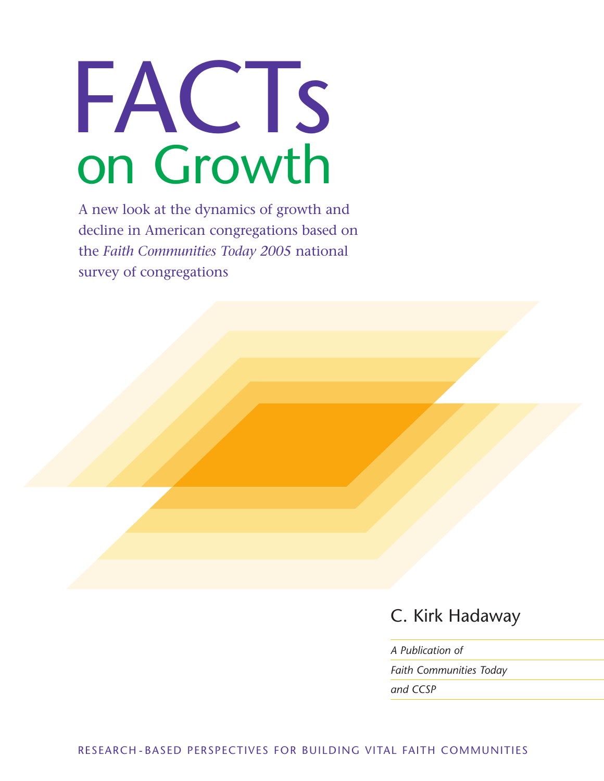

**A new look at the dynamics of growth and decline in American congregations based on the** *Faith Communities Today 2005* **national survey of congregations**

C. Kirk Hadaway

*A Publication of Faith Communities Today and CCSP*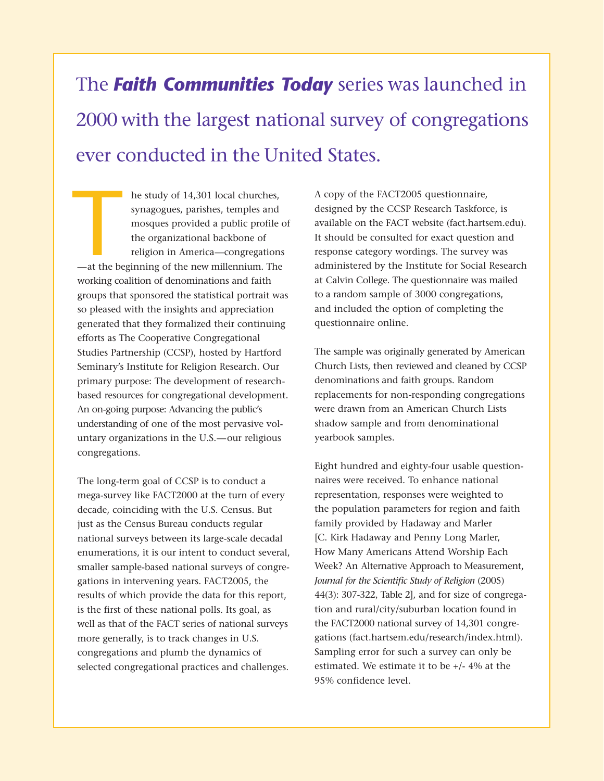# **The** *Faith Communities Today* **series was launched in 2000 with the largest national survey of congregations ever conducted in the United States.**

**he study of 14,301 local churches, synagogues, parishes, temples and mosques provided a public profile of the organizational backbone of religion in America—congregations —at the beginning of the new millennium. The working coalition of denominations and faith groups that sponsored the statistical portrait was so pleased with the insights and appreciation generated that they formalized their continuing efforts as The Cooperative Congregational Studies Partnership (CCSP), hosted by Hartford Seminary's Institute for Religion Research. Our primary purpose: The development of researchbased resources for congregational development. An on-going purpose: Advancing the public's understanding of one of the most pervasive voluntary organizations in the U.S.—our religious congregations.** and the beautiful the beautiful the beautiful the beautiful the beautiful the beautiful the beautiful the beautiful the beautiful the beautiful the beautiful the beautiful the beautiful the beautiful the beautiful the beau

**The long-term goal of CCSP is to conduct a mega-survey like FACT2000 at the turn of every decade, coinciding with the U.S. Census. But just as the Census Bureau conducts regular national surveys between its large-scale decadal enumerations, it is our intent to conduct several, smaller sample-based national surveys of congregations in intervening years. FACT2005, the results of which provide the data for this report, is the first of these national polls. Its goal, as well as that of the FACT series of national surveys more generally, is to track changes in U.S. congregations and plumb the dynamics of selected congregational practices and challenges.** 

**A copy of the FACT2005 questionnaire, designed by the CCSP Research Taskforce, is available on the FACT website (fact.hartsem.edu). It should be consulted for exact question and response category wordings. The survey was administered by the Institute for Social Research at Calvin College. The questionnaire was mailed to a random sample of 3000 congregations, and included the option of completing the questionnaire online.** 

**The sample was originally generated by American Church Lists, then reviewed and cleaned by CCSP denominations and faith groups. Random replacements for non-responding congregations were drawn from an American Church Lists shadow sample and from denominational yearbook samples.**

**Eight hundred and eighty-four usable questionnaires were received. To enhance national representation, responses were weighted to the population parameters for region and faith family provided by Hadaway and Marler [C. Kirk Hadaway and Penny Long Marler, How Many Americans Attend Worship Each Week? An Alternative Approach to Measurement,** *Journal for the Scientific Study of Religion* **(2005) 44(3): 307-322, Table 2], and for size of congregation and rural/city/suburban location found in the FACT2000 national survey of 14,301 congregations (fact.hartsem.edu/research/index.html). Sampling error for such a survey can only be estimated. We estimate it to be +/- 4% at the 95% confidence level.**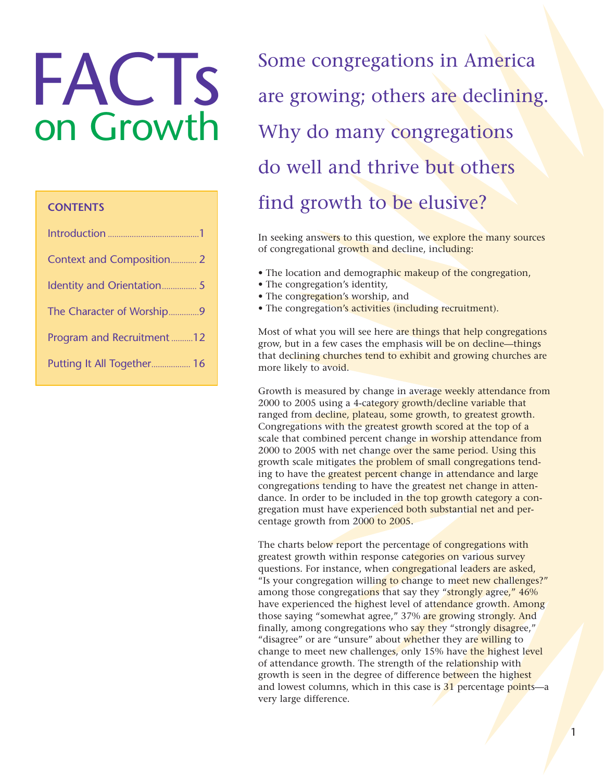# **FACTs** on Growth

# **CONTENTS**

| <b>Context and Composition 2</b> |  |
|----------------------------------|--|
|                                  |  |
| The Character of Worship9        |  |
| Program and Recruitment12        |  |
| Putting It All Together 16       |  |

**Some congregations in America are growing; others are declining. Why do many congregations do well and thrive but others find growth to be elusive?**

**In seeking answers to this question, we explore the many sources of congregational growth and decline, including:** 

- **The location and demographic makeup of the congregation,**
- **The congregation's identity,**
- **The congregation's worship, and**
- **The congregation's activities (including recruitment).**

**Most of what you will see here are things that help congregations grow, but in a few cases the emphasis will be on decline—things that declining churches tend to exhibit and growing churches are more likely to avoid.**

**Growth is measured by change in average weekly attendance from 2000 to 2005 using a 4-category growth/decline variable that ranged from decline, plateau, some growth, to greatest growth. Congregations with the greatest growth scored at the top of a scale that combined percent change in worship attendance from 2000 to 2005 with net change over the same period. Using this growth scale mitigates the problem of small congregations tending to have the greatest percent change in attendance and large congregations tending to have the greatest net change in attendance. In order to be included in the top growth category a congregation must have experienced both substantial net and percentage growth from 2000 to 2005.**

**The charts below report the percentage of congregations with greatest growth within response categories on various survey questions. For instance, when congregational leaders are asked, "Is your congregation willing to change to meet new challenges?" among those congregations that say they "strongly agree," 46% have experienced the highest level of attendance growth. Among those saying "somewhat agree," 37% are growing strongly. And finally, among congregations who say they "strongly disagree," "disagree" or are "unsure" about whether they are willing to change to meet new challenges, only 15% have the highest level of attendance growth. The strength of the relationship with growth is seen in the degree of difference between the highest and lowest columns, which in this case is 31 percentage points—a very large difference.**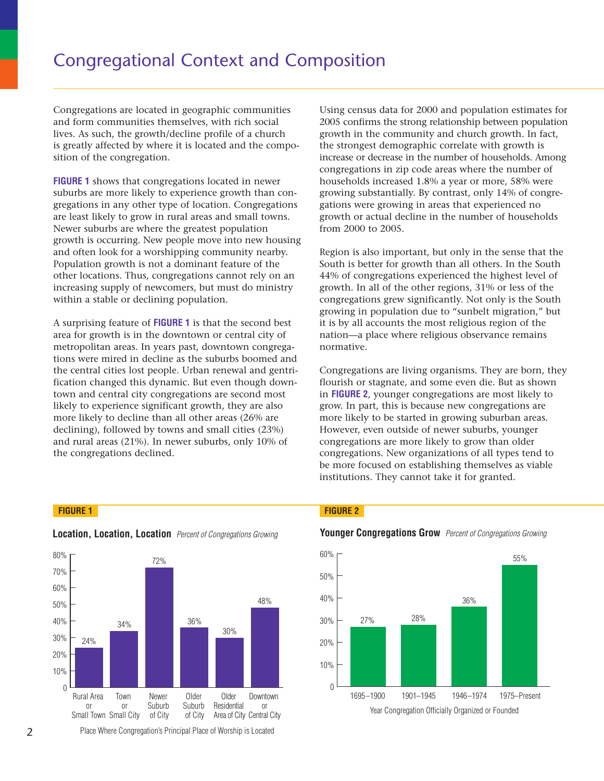### **Congregational Context and Composition** 70% **Figure 1. Location, Location, Location**

**Congregations are located in geographic communities and form communities themselves, with rich social** 48% lives. As such, the growth/decline profile of a church is greatly affected by where it is located and the composition of the congregation. **a** – underding the relationship of the controller controller and the controller controller and the controller controller and controller and controller and controller and controller and controller and controller and contro  $\begin{bmatrix} 1 & 1 \\ 0 & 1 \end{bmatrix}$  and  $\begin{bmatrix} 1 & 1 \\ 1 & 1 \end{bmatrix}$  is  $\begin{bmatrix} 1 & 1 \\ 1 & 1 \end{bmatrix}$ 

72%

**FIGURE 1 shows that congregations located in newer**  suburbs are more likely to experience growth than con**gregations in any other type of location. Congregations** are least likely to grow in rural areas and small towns. **Newer suburbs are where the greatest population** growth is occurring. New people move into new housing **and often look for a worshipping community nearby. Population growth is not a dominant feature of the other locations. Thus, congregations cannot rely on an** 80 **increasing supply of newcomers, but must do ministry** 70 **within a stable or declining population.** 0 % **Ongr**<br> **Example 18**<br> **Example 18**<br> **Example 18**<br> **Example 18**<br> **Example 18**<br> **Example 18**<br> **Example 18**<br> **Example 18**<br> **Example 18**<br> **Example 18**<br> **Example 18**<br> **Example 18**<br> **Example 18**<br> **Example 18**<br> **Example 18**<br> **Exa Solution 1998**<br>Superior Section 1997<br>Section 1998<br>Superior Section 1998<br>Of the mulation 1998<br>Interaction 1998<br>Of the mulation 1999 **gat**<br>same are all the same was the score of the same of the same of the same of the same of the same of the same of the same of the same of the same of the same of the same of the same of the same of the same of the same **Solution**<br>
Solution Catacter in the state of the state of the state of the state of the state of the state of the state of the state of the state of the state of the state of the state of the state of the state of the sta **Cont**<br>eograpt<br>elves, wi<br>iine prois locate<br>ions locatic<br>diareas a<br>greatest<br>lle move<br>minant<br>minant **D C** is example the properties of the properties of the control of the control of the control of the control of the control of the control of the control of the control of the control of the control of the control of th t<br>
oom:<br>
ich<br>
of and<br>
identical<br>
inty<br>
inty<br>
inty<br>
inty<br>
inty<br>
inty<br>
inty<br>
inty<br>
inty<br>
inty<br>
inty<br>
inty<br>
inty<br>
inty<br>
inty<br>
inty<br>
inty<br>
inty<br>
inty<br>
inty<br>
inty<br>
inty<br>
inty<br>
inty<br>
inty<br>
inty<br>
inty<br>
inty<br>
inty<br>
inty<br>
inty<br>
int *read*<br> **r** commentation<br> **r** id e n tia le s of a d<br> **r** e of a d<br> **r** e d in 1<br> **r** cong<br> **r** and the unity<br> **r** and the unity<br> **r** and the unity Xt a<br>
e of a<br>
e of a<br>
e of a<br>
e and the and the distribution<br>
conglamal<br>
population<br>
the unity<br>
ature of rest do **nd C**<br>inities<br>cial<br>urch<br>compo-<br>wer<br>an con-<br>bousing<br>housing<br>the<br>the on an d C<br>
inities<br>
ial<br>
urch<br>
compo<br>
ver<br>
n con-<br>
any.<br>
he on an<br>
inter-

**A surprising feature of FIGURE 1 is that the second best** 50 **area for growth is in the downtown or central city of metropolitan areas. In years past, downtown congrega-**40 **tions were mired in decline as the suburbs boomed and** 30 **the central cities lost people. Urban renewal and gentri-**20 **fication changed this dynamic. But even though downtown and central city congregations are second most** 10 likely to experience significant growth, they are also **more likely to decline than all other areas (26% are declining), followed by towns and small cities (23%) and rural areas (21%). In newer suburbs, only 10% of the congregations declined.**

**Using census data for 2000 and population estimates for 2005 confirms the strong relationship between population** 36% **growth in the community and church growth. In fact,** 30% **the strongest demographic correlate with growth is increase or decrease in the number of households. Among congregations in zip code areas where the number of households increased 1.8% a year or more, 58% were** % **growing substantially. By contrast, only 14% of congre**gations were growing in areas that experienced no **growth or actual decline in the number of households from 2000 to 2005.**  27% 8 %  $\begin{bmatrix} 1 & 1 \\ 2 & 3 \\ 0 & 1 \\ 0 & 0 \\ 0 & 0 \\ 0 & 0 \\ 0 & 0 \\ 0 & 0 \\ 0 & 0 \\ 0 & 0 \\ 0 & 0 \\ 0 & 0 \\ 0 & 0 \\ 0 & 0 \\ 0 & 0 \\ 0 & 0 \\ 0 & 0 \\ 0 & 0 \\ 0 & 0 \\ 0 & 0 \\ 0 & 0 \\ 0 & 0 \\ 0 & 0 \\ 0 & 0 \\ 0 & 0 \\ 0 & 0 \\ 0 & 0 \\ 0 & 0 \\ 0 & 0 \\ 0 & 0 \\ 0 & 0 \\ 0 & 0 \\ 0 & 0 \\ 0 & 0 \\ 0 & 0 \\ 0 &$  $\begin{bmatrix} 1 & 1 \\ 2 & 3 \\ 1 & 5 \\ 15 & 10 \\ 10 & 10 \\ 10 & 10 \\ 10 & 10 \\ 10 & 10 \\ 10 & 10 \\ 10 & 10 \\ 10 & 10 \\ 10 & 10 \\ 10 & 10 \\ 10 & 10 \\ 10 & 10 \\ 10 & 10 \\ 10 & 10 & 10 \\ 10 & 10 & 10 \\ 10 & 10 & 10 \\ 10 & 10 & 10 \\ 10 & 10 & 10 \\ 10 & 10 & 10 \\ 10 & 10 & 10 \\ 10 & 10 &$  $\begin{array}{c} \n\mathbf{C} \\
\mathbf{n} \times \mathbf{s} \\
\mathbf{s} \\
\mathbf{s}\n\end{array}$  $\frac{1}{2}$   $\frac{1}{3}$   $\frac{5}{2}$   $\frac{1}{2}$ **1696**<br> **1697**<br> **1697**<br> **1697**<br> **1697**<br> **1697**<br> **1697**<br> **1697**<br> **1697**<br> **1697**<br> **1697**<br> **1697**<br> **1697**<br> **1697**<br> **1697**<br> **1697**<br> **1697**<br> **1697**<br> **1697**<br> **1697**<br> **1697**<br> **1697**<br> **1697**<br> **1697**<br> **1697**<br> **1697**<br> **1697**<br> **1697** 

55%

**Region is also important, but only in the sense that the South is better for growth than all others. In the South 44% of congregations experienced the highest level of** 60 **growth. In all of the other regions, 31% or less of the congregations grew significantly. Not only is the South** 50 **growing in population due to "sunbelt migration," but it is by all accounts the most religious region of the** 40 **nation—a place where religious observance remains normative.** 30

**Congregations are living organisms. They are born, they** 20 **flourish or stagnate, and some even die. But as shown** 10 **in FIGURE 2, younger congregations are most likely to** grow. In part, this is because new congregations are **more likely to be started in growing suburban areas. However, even outside of newer suburbs, younger congregations are more likely to grow than older congregations. New organizations of all types tend to be more focused on establishing themselves as viable institutions. They cannot take it for granted.** 



### **Location, Location, Location** Percent of Congregations Growing

### **FIGURE 1 FIGURE 2**



### **Younger Congregations Grow** Percent of Congregations Growing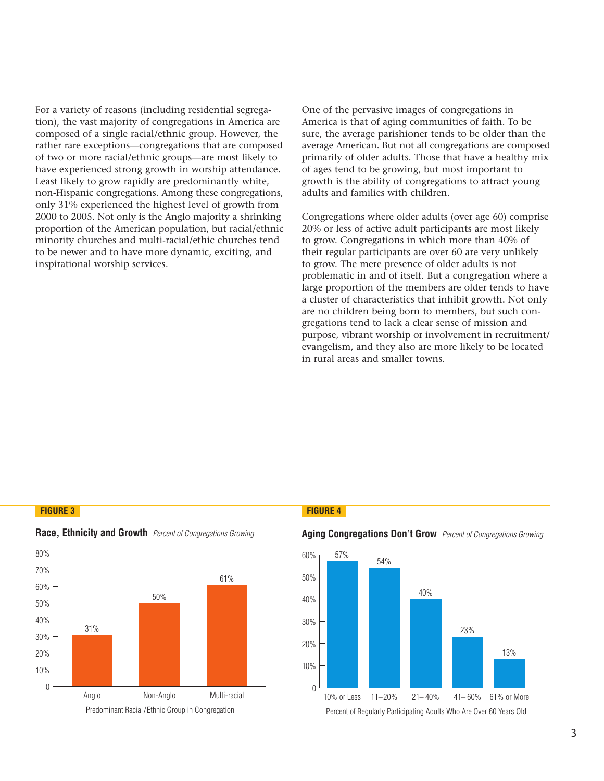**For a variety of reasons (including residential segrega**tion), the vast majority of congregations in America are **composed of a single racial/ethnic group. However, the rather rare exceptions—congregations that are composed of two or more racial/ethnic groups—are most likely to have experienced strong growth in worship attendance. Least likely to grow rapidly are predominantly white, non-Hispanic congregations. Among these congregations, only 31% experienced the highest level of growth from 2000 to 2005. Not only is the Anglo majority a shrinking proportion of the American population, but racial/ethnic minority churches and multi-racial/ethic churches tend to be newer and to have more dynamic, exciting, and inspirational worship services.** 0 %  $\begin{bmatrix} 1 \\ 1 \\ 0 \\ 1 \\ 0 \\ 1 \end{bmatrix}$ ety of reasons (including residential segregations in America<br>
of a single racial/ethnic group. However, t<br>
exceptions—congregations that are compore<br>
more racial/ethnic groups—are most likely<br>
rienced strong growth in wor rived of reasons (including residential space that of a single racial/ethnic group. How the exceptions—congregations that are more racial/ethnic groups—are most rienced strong growth in worship at y to grow rapidly are pre ienced strong growth in worship atte<br>to grow rapidly are predominantly<br>ic congregations. Among these cong<br>xperienced the highest level of grow<br>95. Not only is the Anglo majority a s<br>of the American population, but rac<br>uurc c cee<br>1 t t rc<br>m n<br>20<br>d'  $\overline{3}$ e<br>ti ty<br>e'<br>ti وي<br>1 : أر د<br>10 ti sp<br>| 0 %<br>| ticy<br>| e ti r<br>kk<br>0 % ;<br>1 % die % die % die % die % die % die % die % die % die % die % die % die % die % die % die % die % die % di

**One of the pervasive images of congregations in America is that of aging communities of faith. To be sure, the average parishioner tends to be older than the average American. But not all congregations are composed primarily of older adults. Those that have a healthy mix of ages tend to be growing, but most important to growth is the ability of congregations to attract young adults and families with children.**

**Congregations where older adults (over age 60) comprise 20% or less of active adult participants are most likely to grow. Congregations in which more than 40% of their regular participants are over 60 are very unlikely to grow. The mere presence of older adults is not problematic in and of itself. But a congregation where a** 60 **large proportion of the members are older tends to have** a cluster of characteristics that inhibit growth. Not only **are no children being born to members, but such congregations tend to lack a clear sense of mission and**  40 **purpose, vibrant worship or involvement in recruitment/** 30 **evangelism, and they also are more likely to be located** in rural areas and smaller towns.

# **FIGURE 3 FIGURE 4**  $\frac{1}{\sqrt{2}}$  $\frac{1}{2}$



**Race, Ethnicity and Growth** Percent of Congregations Growing

### **Aging Congregations Don't Grow** Percent of Congregations Growing

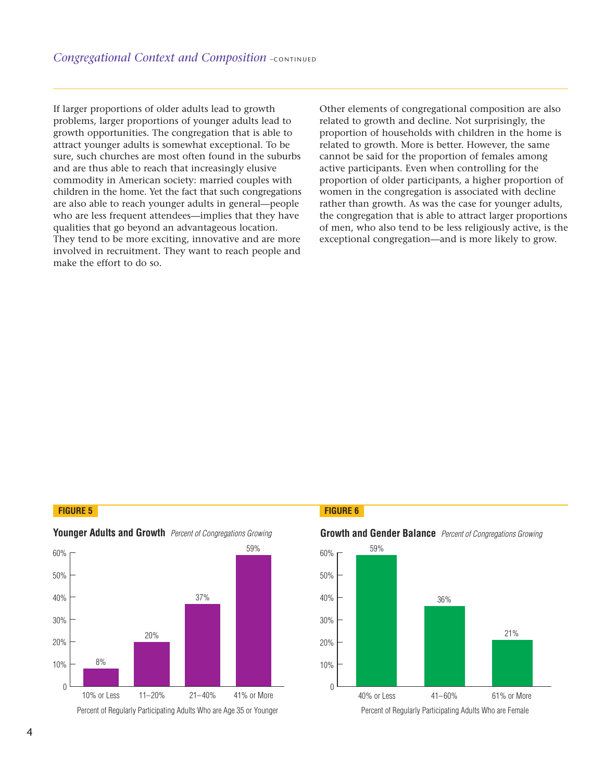**If larger proportions of older adults lead to growth**  problems, larger proportions of younger adults lead to **growth opportunities. The congregation that is able to** attract younger adults is somewhat exceptional. To be sure, such churches are most often found in the suburbs and are thus able to reach that increasingly elusive **commodity in American society: married couples with children in the home. Yet the fact that such congregations** 10% **are also able to reach younger adults in general—people who are less frequent attendees—implies that they have qualities that go beyond an advantageous location. They tend to be more exciting, innovative and are more involved in recruitment. They want to reach people and make the effort to do so.** tt olaphin cus yut dessination olaphin cus yut dessination olaphin to the season of the season of the control of the control of the control of the control of the control of the control of the control of the control of the compared to the state of the state of the state of the state of the state of the state of the state of the state of the state of the state of the state of the state of the state of the state of the state of the state of th *egational Context and Composition* - continue<br>
1 proportions of older adults lead to growth<br>
1 space proportions of younger adults lead to<br>
1 opportunities. The congregation that is able to<br>
1 opportunities are most often Igregational Context and Composition -contragregational Context and Composition -contragregations, larger proportions of younger adults lead to the opportunities. The congregation that is able to control the subset of youn

**Other elements of congregational composition are also** 70% **related to growth and decline. Not surprisingly, the**  59% 0% **proportion of households with children in the home is** related to growth. More is better. However, the same **cannot be said for the proportion of females among** 40% **active participants. Even when controlling for the**  36% **proportion of older participants, a higher proportion of** 30% women in the congregation is associated with decline **rather than growth. As was the case for younger adults, the congregation that is able to attract larger proportions** 10% **of men, who also tend to be less religiously active, is the** 0% exceptional congregation-and is more likely to grow.

### **FIGURE 5 FIGURE 6**



### Younger Adults and Growth **Percent of Congregations Growing**



# **Growth and Gender Balance** Percent of Congregations Growing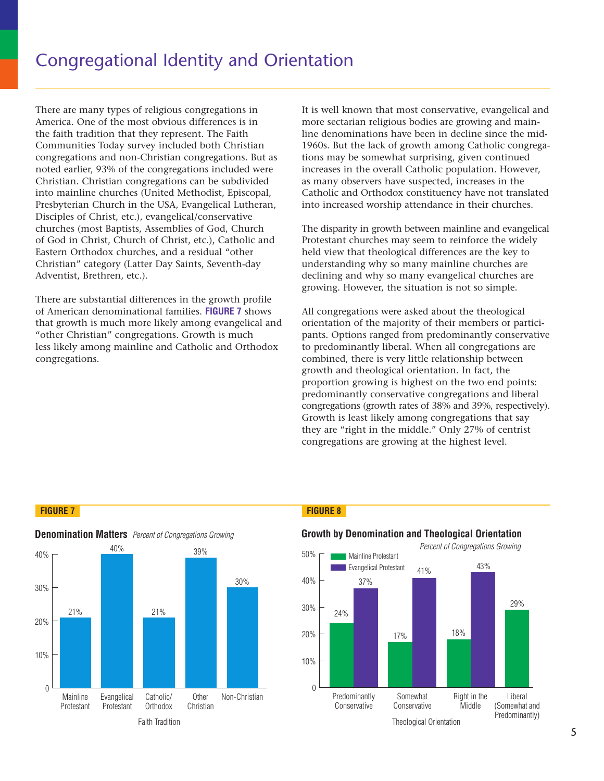**There are many types of religious congregations in America. One of the most obvious differences is in the faith tradition that they represent. The Faith Communities Today survey included both Christian** 50% **congregations and non-Christian congregations. But as** 40% noted earlier, 93% of the congregations included were **Christian. Christian congregations can be subdivided into mainline churches (United Methodist, Episcopal,** 30% **Presbyterian Church in the USA, Evangelical Lutheran, Disciples of Christ, etc.), evangelical/conservative churches (most Baptists, Assemblies of God, Church of God in Christ, Church of Christ, etc.), Catholic and** 10% **Eastern Orthodox churches, and a residual "other Christian" category (Latter Day Saints, Seventh-day Adventist, Brethren, etc.).** % **Frame Solution Solution Solution**<br> **F ignomic Solution Solution Solution Solution Solution Solution**<br> **F F Example 1**<br> **F Example 1**<br> **F Example 1**<br> **F Example 1**<br> **F Example 1**<br> **F Example 10**<br> **F Example**  $\mathbf{1}$  $\begin{bmatrix} -1 & 0 & 0 \\ 0 & 0 & 0 \\ 0 & 0 & 0 \\ 0 & 0 & 0 \\ 0 & 0 & 0 \\ 0 & 0 & 0 \\ 0 & 0 & 0 \\ 0 & 0 & 0 \\ 0 & 0 & 0 \\ 0 & 0 & 0 \\ 0 & 0 & 0 \\ 0 & 0 & 0 \\ 0 & 0 & 0 \\ 0 & 0 & 0 \\ 0 & 0 & 0 & 0 \\ 0 & 0 & 0 & 0 \\ 0 & 0 & 0 & 0 \\ 0 & 0 & 0 & 0 \\ 0 & 0 & 0 & 0 & 0 \\ 0 & 0 & 0 & 0 & 0 \\ 0 & 0 & 0 &$ are r a. C<br>
a. C<br>
a. C<br>
th trumit<br>
ian.<br>
ian.<br>
ian.<br>
ian.<br>
if is derica<br>
is erica<br>
continue of the contract contract contract contract contract contract contract contract contract contract contract contract contract contra France is a controller and the set of the set of the set of the set of the set of the set of the set of the set of the set of the set of the set of the set of the set of the set of the set of the set of the set of the set ypes of<br>the mc that if<br>the moment of the moment<br>of the moment of the moment<br>churc churc churc<br>churc if and the moment<br>tial diffusion moment<br>congraphial pes on<br>that income such that is<br>ay sure such that is<br>not the such that is<br>the such that the such that<br>tial diffusion that the such that<br>congression that the such that<br>congression that the such that the such that is a subst gious congregations in<br>
bvious differences is in<br>
represent. The Faith<br>
included both Christian<br>
istian congregations. But as<br>
regrations included were<br>
istions can be subdivided<br>
ited Methodist, Episcopal,<br>
CSA, Evangelic igious con<br>bvious dif<br>represent<br>included l<br>istian cong<br>ngregations can<br>ited Meth<br>uSA, Evan<br>angelical/c<br>semblies of Christ, et<br>and a resi<br>Day Saints<br>nces in th<br>al families.<br>ikely amon<br>ions. Grow<br>and Catho

**There are substantial differences in the growth profile of American denominational families. FIGURE 7 shows that growth is much more likely among evangelical and "other Christian" congregations. Growth is much**  40 **less likely among mainline and Catholic and Orthodox** 35 **congregations.** 30

**It is well known that most conservative, evangelical and more sectarian religious bodies are growing and mainline denominations have been in decline since the mid-1960s. But the lack of growth among Catholic congregations may be somewhat surprising, given continued** 60% **increases in the overall Catholic population. However,** as many observers have suspected, increases in the Catholic and Orthodox constituency have not translated into increased worship attendance in their churches. **Figure 12**<br>**Figure 10**<br>**Figure 1**<br>**Figure 8. D** educations have been in decline since the<br>**Figure 10**<br>**Figure 10**<br>**Figure 10**<br>**Figure 10**<br>**Figure 10**<br>**Figure 2. B** and Divisors any observers have suspected, increases in t  $\mathcal{L}_{\mathcal{D}}$  , which is a set of the set of the set of the set of the set of the set of the set of the set of the set of the set of the set of the set of the set of the set of the set of the set of the set of the set of s wer Kinowir mat most conservance, evangencar and and<br>ore sectarian religious bodies are growing and main-<br>60s. But the lack of growth among Catholic congrega-<br>ns may be somewhat surprising, given continued<br>reases in the nain-<br>e mid-<br>ngrega<br>ed<br>es.<br>slated<br>nes.<br>nes.<br>nes.<br>artici-<br>artici-<br>artici-<br>are **COMAN INCRED SECUTE:**<br>
The Sectaria denomines<br>
Solid in the property of the property<br>
Solid in the property of the property<br>
Solid increase<br>
disparity **EXECT:**<br>
Well know<br>
e sectariar<br>
denomina<br>
Solic and t<br>
diations increased<br>
disparity is

The disparity in growth between mainline and evangelical Protestant churches may seem to reinforce the widely held view that theological differences are the key to **understanding why so many mainline churches are declining and why so many evangelical churches are growing. However, the situation is not so simple.**

**All congregations were asked about the theological orientation of the majority of their members or participants. Options ranged from predominantly conservative to predominantly liberal. When all congregations are combined, there is very little relationship between** 50 **growth and theological orientation. In fact, the proportion growing is highest on the two end points:** 40 **predominantly conservative congregations and liberal congregations (growth rates of 38% and 39%, respectively).** 30 **Growth is least likely among congregations that say they are "right in the middle." Only 27% of centrist congregations are growing at the highest level.** 20 **The orient Sydney Set in the Sydney Set is also set of the system of the system of the system in all of the system in all of the system in all of the system in the system of the system of the system of the system of the s** 

# **FIGURE 7 FIGURE 8**



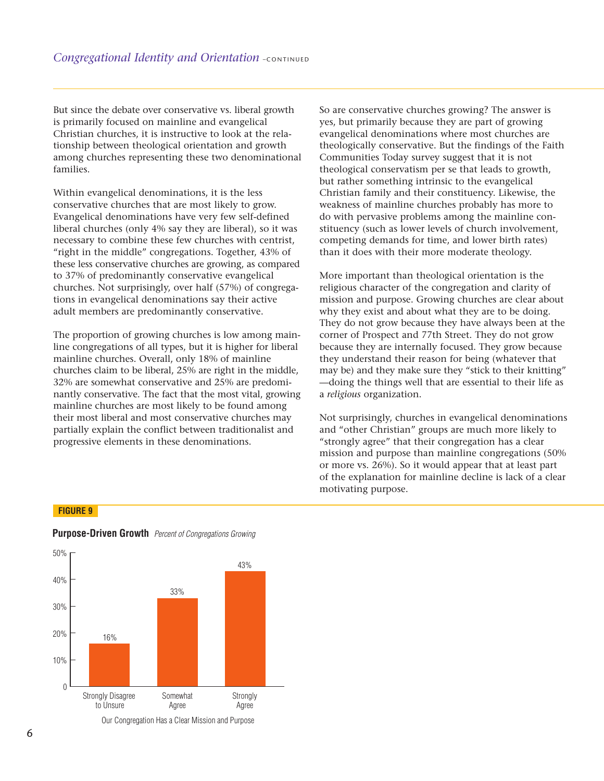**But since the debate over conservative vs. liberal growth is primarily focused on mainline and evangelical Christian churches, it is instructive to look at the relationship between theological orientation and growth among churches representing these two denominational** 60% **families.**  50% *Figure 1 . Figure 1 . The debate over conservative vs*<br> **Figure 9 . Probation**<br>
Figure 2 . The set of the set of the proposition<br>
Figure 1 . The set of the set of the set of the set of the set of the set of the set of the

Within evangelical denominations, it is the less **conservative churches that are most likely to grow. Evangelical denominations have very few self-defined** liberal churches (only 4% say they are liberal), so it was **necessary to combine these few churches with centrist, "right in the middle" congregations. Together, 43% of** 10% **these less conservative churches are growing, as compared** % **to 37% of predominantly conservative evangelical churches. Not surprisingly, over half (57%) of congregations in evangelical denominations say their active adult members are predominantly conservative.** 3 % T<br>
munities<br>
in Externe<br>
ides<br>
ides<br>
ides 0 % the debate over conservative vs. liberally focused on mainline and evangelic<br>churches, it is instructive to look at the observed theological orientation and guarches representing these two denon<br>vangelical denominations, i **CONCREG COMMAGE CONCERNMENT CONCERNMENT CONCRED TREAD (TO UPCE THE PRESENTIFY PRESENTIFY PRESENTIFY PRESENTIFY PRESENTIFY AND EXAM IS CONTENT CONCERNMENT CONCERNMENT CONCERNMENT CONTINUES TO SEVERAL ASSEMBLEM CONCERNMENT** 

**The proportion of growing churches is low among mainline congregations of all types, but it is higher for liberal** 40 **mainline churches. Overall, only 18% of mainline churches claim to be liberal, 25% are right in the middle,** 30 **32% are somewhat conservative and 25% are predominantly conservative. The fact that the most vital, growing mainline churches are most likely to be found among** 20 **their most liberal and most conservative churches may partially explain the conflict between traditionalist and** 10 **progressive elements in these denominations.** 

**So are conservative churches growing? The answer is yes, but primarily because they are part of growing evangelical denominations where most churches are theologically conservative. But the findings of the Faith Communities Today survey suggest that it is not theological conservatism per se that leads to growth, but rather something intrinsic to the evangelical Christian family and their constituency. Likewise, the weakness of mainline churches probably has more to do with pervasive problems among the mainline constituency (such as lower levels of church involvement, competing demands for time, and lower birth rates) than it does with their more moderate theology.** 

**More important than theological orientation is the religious character of the congregation and clarity of mission and purpose. Growing churches are clear about why they exist and about what they are to be doing. They do not grow because they have always been at the corner of Prospect and 77th Street. They do not grow because they are internally focused. They grow because they understand their reason for being (whatever that may be) and they make sure they "stick to their knitting" —doing the things well that are essential to their life as a** *religious* **organization.**

**Not surprisingly, churches in evangelical denominations and "other Christian" groups are much more likely to "strongly agree" that their congregation has a clear mission and purpose than mainline congregations (50% or more vs. 26%). So it would appear that at least part of the explanation for mainline decline is lack of a clear motivating purpose.**

### **FIGURE 9**



# **Purpose-Driven Growth** Percent of Congregations Growing

Our Congregation Has a Clear Mission and Purpose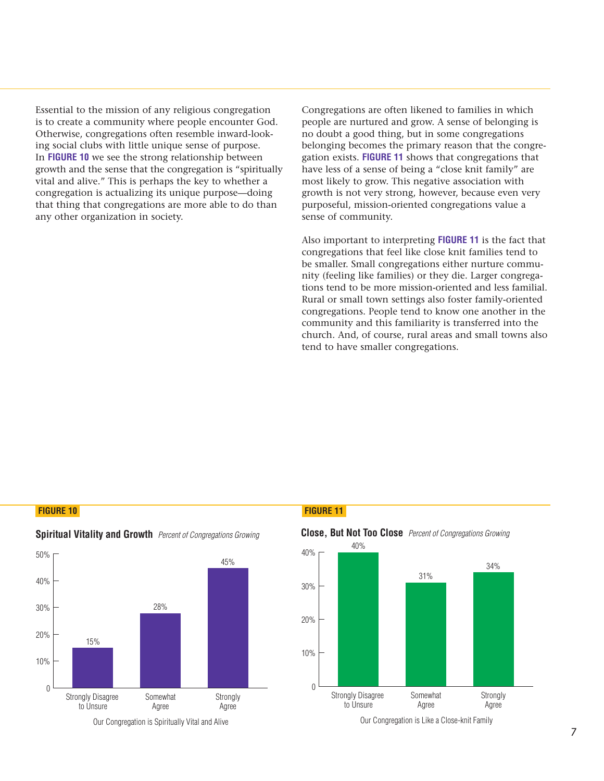**Essential to the mission of any religious congregation is to create a community where people encounter God. Otherwise, congregations often resemble inward-look-**60% **ing social clubs with little unique sense of purpose.**  In FIGURE 10 we see the strong relationship between **growth and the sense that the congregation is "spiritually** vital and alive." This is perhaps the key to whether a **congregation is actualizing its unique purpose—doing** that thing that congregations are more able to do than **any other organization in society. F** to the mission of any religious complement to a community where people encomple in the congregations of the strong relationship and the sense that the congregation of a live." This is perhaps the key to varion is actua 5 % iss strip to the strip of the strip of the strip of the strip of the strip of the strip of the strip of the str<br>and the strip of the strip of the strip of the strip of the strip of the strip of the strip of the strip of th 0 % notial to the mission of any religious congregat create a community where people encounternies, congregations often resemble inward-locial clubs with little unique sense of purpose GURE 10 we see the strong relationship be read mission of any religious community where people er<br>ongregations often resemble<br>bs with little unique sense of<br>we see the strong relationshi<br>ne sense that the congregation<br>e." This is perhaps the key to<br>is actualizing

**Congregations are often likened to families in which people are nurtured and grow. A sense of belonging is no doubt a good thing, but in some congregations** 60% **belonging becomes the primary reason that the congregation exists. <b>FIGURE 11** shows that congregations that have less of a sense of being a "close knit family" are **most likely to grow. This negative association with** 31% growth is not very strong, however, because even very **purposeful, mission-oriented congregations value a** 20% **sense of community.**  |<br>| 01<br>| 01<br>| 11<br>| 12<br>| 23 **Concilient Solution School School American**<br> **O u d** and grow. A sense of<br>
hing, but in some cong<br>
se the primary reason th<br> **RE 11** shows that congre<br>
ie of being a "close knit w. This negative associan<br> *N* strong, howe

**Also important to interpreting FIGURE 11 is the fact that** congregations that feel like close knit families tend to **be smaller. Small congregations either nurture community (feeling like families) or they die. Larger congregations tend to be more mission-oriented and less familial. Rural or small town settings also foster family-oriented congregations. People tend to know one another in the community and this familiarity is transferred into the** 40 **church. And, of course, rural areas and small towns also** 35 **tend to have smaller congregations.** 30

### **FIGURE 10 FIGURE 11**



# **Spiritual Vitality and Growth** Percent of Congregations Growing



Our Congregation is Spiritually Vital and Alive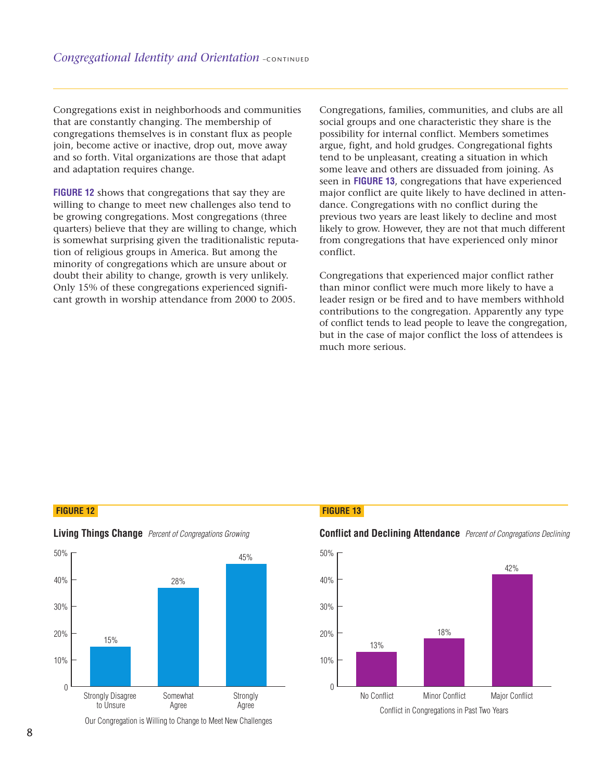**Congregations exist in neighborhoods and communities that are constantly changing. The membership of** congregations themselves is in constant flux as people **join, become active or inactive, drop out, move away** and so forth. Vital organizations are those that adapt **and adaptation requires change.** 

**FIGURE 12 shows that congregations that say they are willing to change to meet new challenges also tend to** 30% **be growing congregations. Most congregations (three quarters) believe that they are willing to change, which** 20% is somewhat surprising given the traditionalistic reputation of religious groups in America. But among the **minority of congregations which are unsure about or doubt their ability to change, growth is very unlikely. Only 15% of these congregations experienced signifi-**0% **cant growth in worship attendance from 2000 to 2005.** TS% of these congregations experienced signifi Exportantly changing. The membership of and systems absolutions themselves is in constant flux as performation and formation requires change.<br> **O 12** shows that congregations that say they to change to meet new challenges

**Congregations, families, communities, and clubs are all** social groups and one characteristic they share is the **possibility for internal conflict. Members sometimes argue, fight, and hold grudges. Congregational fights** 42% **tend to be unpleasant, creating a situation in which** 40% **some leave and others are dissuaded from joining. As** seen in **FIGURE 13**, congregations that have experienced **major conflict are quite likely to have declined in atten**dance. Congregations with no conflict during the **previous two years are least likely to decline and most** 13% **likely to grow. However, they are not that much different from congregations that have experienced only minor** 10% **conflict.**  Figures 100000, tamilies, communities, and clubs<br>typs and one characteristic they share is<br>for internal conflict. Members sometit<br>t, and hold grudges. Congregational f<br>unpleasant, creating a situation in wh<br>and others are | giventititie a Fo C s p | n | site a Fo C s p | n | site a ite families, communities, and clubs a<br>nd one characteristic they share is ti<br>nternal conflict. Members sometime<br>d hold grudges. Congregational figl<br>leasant, creating a situation in whic<br>l others are dissuaded from joining.<br>13

**Congregations that experienced major conflict rather** than minor conflict were much more likely to have a **leader resign or be fired and to have members withhold contributions to the congregation. Apparently any type of conflict tends to lead people to leave the congregation, but in the case of major conflict the loss of attendees is** 50 **much more serious.**

### **FIGURE 12 FIGURE 13**



**Living Things Change** Percent of Congregations Growing

### Our Congregation is Willing to Change to Meet New Challenges

**Conflict and Declining Attendance** Percent of Congregations Declining

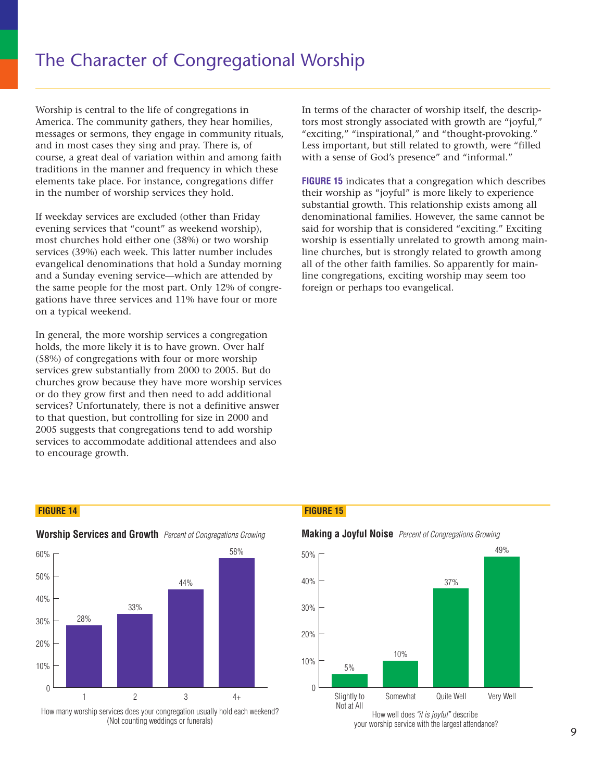**Worship is central to the life of congregations in** America. The community gathers, they hear homilies, **messages or sermons, they engage in community rituals,** 58% and in most cases they sing and pray. There is, of **course, a great deal of variation within and among faith** 50% traditions in the manner and frequency in which these elements take place. For instance, congregations differ in the number of worship services they hold. **Figure 14. The Character of Congling**<br> **Figure 14. The community gathers, they he**<br> **Figure 14. Start is an** to say and pray. The<br> **Figure 14. The community start of the same of the same in most cases they sing and pray.** 

If weekday services are excluded (other than Friday **evening services that "count" as weekend worship),** most churches hold either one (38%) or two worship **services (39%) each week. This latter number includes evangelical denominations that hold a Sunday morning and a Sunday evening service—which are attended by the same people for the most part. Only 12% of congregations have three services and 11% have four or more on a typical weekend.** 0 % between the teached of the state of the state of the state of the state of the state. The community gathers, they hear hos or sermons, they engage in communi most cases they sing and pray. There is, a great deal of variat *M* Worship is central to the life of congregations in merica. The community gathers, they hear hom essages or sermons, they engage in community and in most cases they sing and pray. There is, of ourse, a great deal of var s central to the life of congregat<br>The community gathers, they hor<br>or sermons, they engage in com<br>sot cases they sing and pray. The<br>great deal of variation within an<br>in the manner and frequency in<br>take place. For instance,

**In general, the more worship services a congregation** 60 **holds, the more likely it is to have grown. Over half (58%) of congregations with four or more worship**  50 **services grew substantially from 2000 to 2005. But do churches grow because they have more worship services** 40 **or do they grow first and then need to add additional** services? Unfortunately, there is not a definitive answer **to that question, but controlling for size in 2000 and 2005 suggests that congregations tend to add worship** 20 **services to accommodate additional attendees and also** to encourage growth.

**In terms of the character of worship itself, the descriptors most strongly associated with growth are "joyful," "exciting," "inspirational," and "thought-provoking." Less important, but still related to growth, were "filled** with a sense of God's presence" and "informal." **Figure 1 5. Follow**<br>**Figure 1 5. Solution**<br>**Figure 1 5. M** and "though but still related to grow<br>**God's presence"** and "ir<br>ates that a congregation  $\mathbf{r}$  =  $\mathbf{r}$  =  $\mathbf{r}$  =  $\mathbf{r}$  =  $\mathbf{r}$  =  $\mathbf{r}$  =  $\mathbf{r}$  =  $\mathbf{r}$  =  $\mathbf{r}$  =  $\mathbf{r}$  =  $\mathbf{r}$  =  $\mathbf{r}$  =  $\mathbf{r}$  =  $\mathbf{r}$  =  $\mathbf{r}$  =  $\mathbf{r}$  =  $\mathbf{r}$  =  $\mathbf{r}$  =  $\mathbf{r}$  =  $\mathbf{r}$  =  $\Gamma$   $\alpha$  and  $\alpha$  in  $\alpha$ 

**FIGURE 15 indicates that a congregation which describes their worship as "joyful" is more likely to experience substantial growth. This relationship exists among all denominational families. However, the same cannot be said for worship that is considered "exciting." Exciting** % **worship is essentially unrelated to growth among main**line churches, but is strongly related to growth among **all of the other faith families. So apparently for main**line congregations, exciting worship may seem too **foreign or perhaps too evangelical.**  or worshin that is co  $\frac{1}{2}$  p<br> $\frac{1}{2}$  tike if  $\frac{1}{4}$  $\begin{bmatrix} 1 & 0 & 0 & 0 \\ 0 & 0 & 0 & 0 \\ 0 & 0 & 0 & 0 \\ 0 & 0 & 0 & 0 \\ 0 & 0 & 0 & 0 \\ 0 & 0 & 0 & 0 \\ 0 & 0 & 0 & 0 \\ 0 & 0 & 0 & 0 \\ 0 & 0 & 0 & 0 \\ 0 & 0 & 0 & 0 \\ 0 & 0 & 0 & 0 \\ 0 & 0 & 0 & 0 \\ 0 & 0 & 0 & 0 \\ 0 & 0 & 0 & 0 & 0 \\ 0 & 0 & 0 & 0 & 0 \\ 0 & 0 & 0 & 0 & 0 \\ 0 & 0 & 0 & 0 &$  $\Gamma$   $\alpha$   $\alpha$   $\beta$   $\beta$   $\beta$   $\alpha$   $\beta$   $\beta$   $\beta$   $\beta$   $\beta$ of the character of worship itself, the destrongly associated with growth are "jo" "inspirational," and "thought-provob ortant, but still related to growth, were nse of God's presence" and "informal." indicates that a cong of the character of worship itself, the c<br>t strongly associated with growth are "j<br>," "inspirational," and "thought-provo<br>ortant, but still related to growth, were<br>mse of God's presence" and "informal."<br>5 indicates that a

### **FIGURE 14 FIGURE 15**



**Worship Services and Growth** Percent of Congregations Growing

How many worship services does your congregation usually hold each weekend? (Not counting weddings or funerals)



# **Making a Joyful Noise** Percent of Congregations Growing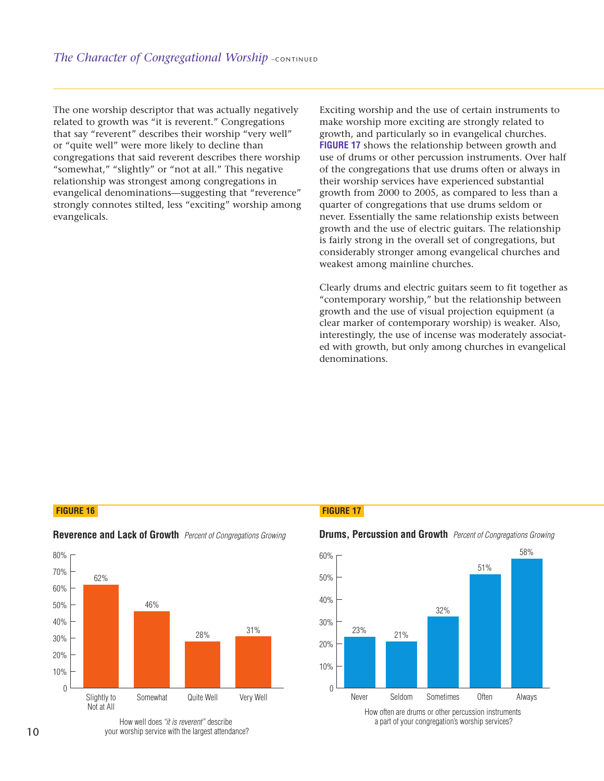**The one worship descriptor that was actually negatively related to growth was "it is reverent." Congregations** 70% **that say "reverent" describes their worship "very well" or "quite well" were more likely to decline than congregations that said reverent describes there worship** 46% 50% **"somewhat," "slightly" or "not at all." This negative relationship was strongest among congregations in evangelical denominations—suggesting that "reverence"** 31% 30% **strongly connotes stilted, less "exciting" worship among** evangelicals. *Character of Congregational Wor.*<br>
The worship descriptor that was actually<br>
d to growth was "it is reverent." Congray "reverent" describes their worship "<br>
wite well" were more likely to decline ti<br>
regations that said r 2 %  $\frac{1}{\sqrt{2}}$  and  $\frac{1}{\sqrt{2}}$  examples The Line of the Line of the Middle<br>and the Line<br>of Line of The Middle<br>and Middle The Middle Of The Middle The Middle Of The Middle The Middle The Middle The Middle The Middle The M The control of the control of the control of the control of the control of the control of the control of the control of the control of the control of the control of the control of the control of the control of the control The the control<br>of the control<br>of the control<br>of the control<br>of the control of the control of the control of the control of the control of the control of the control of th<br>or the control of the control of the control of th  $\frac{1}{2}$  helian are considered with  $\frac{1}{2}$  and  $\frac{1}{2}$  are considered with  $\frac{1}{2}$ ontineted by Congregational Worship<br>one worship descriptor that was actually negd to growth was "it is reverent." Congregatiay "reverent" describes their worship "very<br>uite well" were more likely to decline than<br>regations one worship descriptor that was actually n<br>ted to growth was "it is reverent." Congregs<br>say "reverent" describes their worship "ver<br>quite well" were more likely to decline than<br>gregations that said reverent describes there

**Exciting worship and the use of certain instruments to make worship more exciting are strongly related to** 58% 60% growth, and particularly so in evangelical churches. **FIGURE 17 shows the relationship between growth and use of drums or other percussion instruments. Over half** 40% **of the congregations that use drums often or always in** 32% **their worship services have experienced substantial** 30% growth from 2000 to 2005, as compared to less than a **quarter of congregations that use drums seldom or never. Essentially the same relationship exists between growth and the use of electric guitars. The relationship is fairly strong in the overall set of congregations, but considerably stronger among evangelical churches and weakest among mainline churches.**  3 % 0 % 0 % xci<br>
xci<br>
lak<br>
cow<br>
se f theirow<br>
uan<br>
eal<br>
comes 50 % worship and the use of certain instrument<br>proship more exciting are strongly related<br>and particularly so in evangelical church<br>7 shows the relationship between growth<br>rums or other percussion instruments. On<br>progregations **How the set of the set of certain instrument e worship more exciting are strongly related to<br>th, and particularly so in evangelical churche<br><b>RE 17** shows the relationship between growth<br>of drums or other percussion instru hip and the use of certain in<br>the positive point of the positive and the point of the relationship between<br>or other percussion instrum<br>gations that use drums ofter<br>services have experienced s<br>2000 to 2005, as compared t<br>ag

**Figure 17. Drums, Percussion and Growth**

**Clearly drums and electric guitars seem to fit together as "contemporary worship," but the relationship between growth and the use of visual projection equipment (a clear marker of contemporary worship) is weaker. Also,** 60 **interestingly, the use of incense was moderately associated with growth, but only among churches in evangelical** 50 denominations.

### **FIGURE 16 FIGURE 17**



# **Reverence and Lack of Growth** Percent of Congregations Growing

How well does "it is reverent" describe your worship service with the largest attendance?

### **Drums, Percussion and Growth** Percent of Congregations Growing



a part of your congregation's worship services?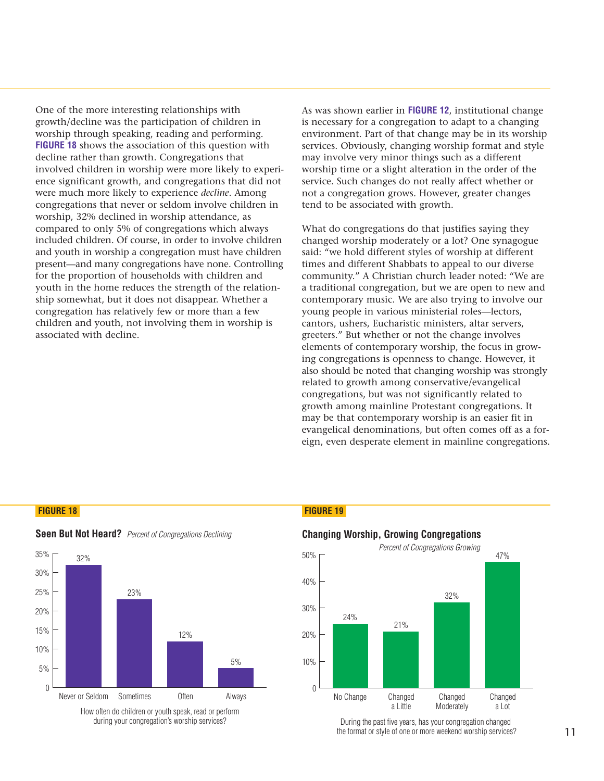**One of the more interesting relationships with growth/decline was the participation of children in worship through speaking, reading and performing. FIGURE 18 shows the association of this question with decline rather than growth. Congregations that** 50% **involved children in worship were more likely to experience significant growth, and congregations that did not** 40% **were much more likely to experience** *decline***. Among congregations that never or seldom involve children in** worship, 32% declined in worship attendance, as **compared to only 5% of congregations which always included children. Of course, in order to involve children** 20% **and youth in worship a congregation must have children present—and many congregations have none. Controlling for the proportion of households with children and** 10% **youth in the home reduces the strength of the relationship somewhat, but it does not disappear. Whether a congregation has relatively few or more than a few children and youth, not involving them in worship is associated with decline. Figure 12.12**<br>**Figure 12. Solution** the participation of clarage through speaking, reading and p<br>shows the association of this quality<br>ther than growth. Congregation<br>children in worship were more l<br>ficant growth, and cong 2 % st Indown the strip of the strip of the strip of the strip of the strip of the strip of the strip of the strip of the strip of the strip of the strip of the strip of the strip of the strip of the strip of the strip of the 2 m and and all the gate in the gate of the gate of the gate of the gate of the procedure the procedure the procedure  $\mathbf{p}$ 5 % 0 % re the more interesting relationships with  $\Lambda$  //decline was the participation of children in p through speaking, reading and performin 18 shows the association of this question we rather than growth. Congregations that e Ip through speaking, reading and perform<br>**E 18** shows the association of this question<br>or erather than growth. Congregations that<br>wed children in worship were more likely<br>significant growth, and congregations tha<br>much more ws the association of this q<br>than growth. Congregatio<br>lren in worship were more<br>ort growth, and congregatic<br>ore likely to experience *dec*<br>that never or seldom invo<br>declined in worship attenor<br>or invorship a congregation m

**As was shown earlier in FIGURE 12, institutional change is necessary for a congregation to adapt to a changing environment. Part of that change may be in its worship Congregations services. Obviously, changing worship format and style may involve very minor things such as a different worship time or a slight alteration in the order of the** 47% 50% **service. Such changes do not really affect whether or not a congregation grows. However, greater changes tend to be associated with growth.**  wn earlier in **FIGURE 12**, institutional<br>y for a congregation to adapt to a ch<br>ent. Part of that change may be in its<br>bviously, changing worship format a<br>we very minor things such as a differe<br>me or a slight alteration in 1 % a control control in the control of the control of the control of the control of the control of the control of the control of the control of the control of the control of the control of the control of the control of the co |<br>| vaec<br>| irc ic ish<br>| ic a<br>| if at |<br>| va<br>| el ro<br>| i c<br>| i c<br>| 1 1

**What do congregations do that justifies saying they** 24% changed worship moderately or a lot? One synagogue **said: "we hold different styles of worship at different times and different Shabbats to appeal to our diverse community." A Christian church leader noted: "We are a traditional congregation, but we are open to new and** contemporary music. We are also trying to involve our **young people in various ministerial roles—lectors, cantors, ushers, Eucharistic ministers, altar servers, greeters." But whether or not the change involves**  elements of contemporary worship, the focus in grow**ing congregations is openness to change. However, it also should be noted that changing worship was strongly** 40 **related to growth among conservative/evangelical congregations, but was not significantly related to growth among mainline Protestant congregations. It** 30 **may be that contemporary worship is an easier fit in evangelical denominations, but often comes off as a for-**20 **eign, even desperate element in mainline congregations.** va<br>echic<br>icide<br>ishic<br>all that<br>eshing<br>ishic<br>that bown earlier in **FIGURE 12**, institutional changry for a congregation to adapt to a changing<br>ent. Part of that change may be in its worsh<br>biviously, changing worship format and sty<br>ve very minor things such as a different<br> Part of that change may be in<br>busly, changing worship forma<br>ery minor things such as a diff<br>or a slight alteration in the ord<br>hanges do not really affect wh<br>tion grows. However, greater c<br>ociated with growth.<br>regations do

# 0 **FIGURE 18 FIGURE 19**



# **Seen But Not Heard?** Percent of Congregations Declining



During the past five years, has your congregation changed the format or style of one or more weekend worship services?

How often do children or youth speak, read or perform during your congregation's worship services?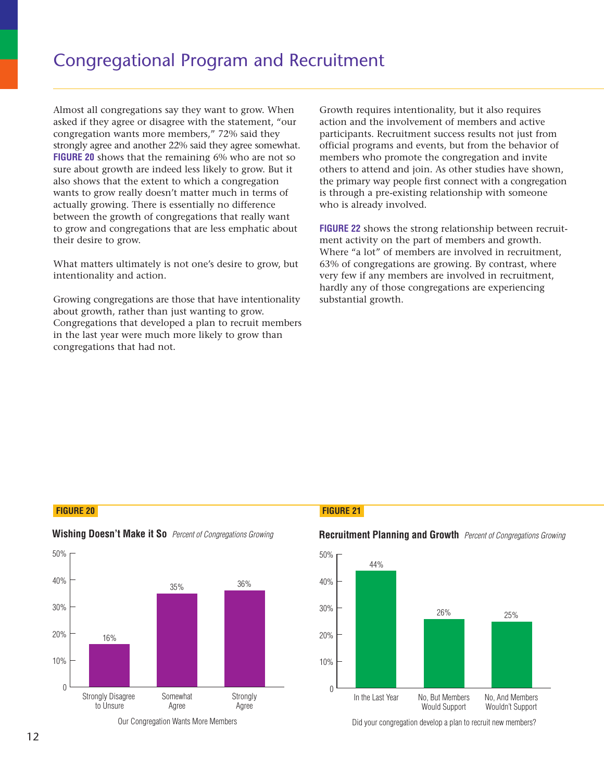**Almost all congregations say they want to grow. When asked if they agree or disagree with the statement, "our congregation wants more members," 72% said they strongly agree and another 22% said they agree somewhat.** 60% **FIGURE 20 shows that the remaining 6% who are not so** sure about growth are indeed less likely to grow. But it **also shows that the extent to which a congregation** wants to grow really doesn't matter much in terms of **actually growing. There is essentially no difference** 30% **between the growth of congregations that really want**  to grow and congregations that are less emphatic about **their desire to grow. Example 10 . Program**<br> **Figure 2 . Program**<br> **Figure 2 . We are and another 22% said they agong the stand another 22% said they agong that the remaining 6% with are indeed less likely to nat the extent to which a conducti** | https://strate.org/strate.org/strate.org/strate.org/strate.org/strate.org/stra l congregations say they want to grow<br>ney agree or disagree with the stateme<br>ion wants more members," 72% said<br>gree and another 22% said they agree s<br>shows that the remaining 6% who are<br>t growth are indeed less likely to g gations say they want<br>
e or disagree with the<br>
ts more members," 72<br>
another 22% said they<br>
nat the remaining 6%<br>
are indeed less likely<br>
e extent to which a c<br>
lly doesn't matter mu<br>
There is essentially no<br>
the of congre

**What matters ultimately is not one's desire to grow, but intentionality and action.**

**Growing congregations are those that have intentionality** about growth, rather than just wanting to grow. **Congregations that developed a plan to recruit members in the last year were much more likely to grow than** 40 **congregations that had not.**

**Growth requires intentionality, but it also requires action and the involvement of members and active participants. Recruitment success results not just from official programs and events, but from the behavior of** 50% **members who promote the congregation and invite** 40% **others to attend and join. As other studies have shown, the primary way people first connect with a congregation** 30% is through a pre-existing relationship with someone **who is already involved. f**<br>**Figure 21. All is to the involvement of members and Recruitment success results no<br>ams and events, but from the lo<br>promote the congregation and and join. As other studies l<br>vay people first connect with a<br>pre-existing**  $\frac{1}{4}$  at to it is not it or but it also req<br>members and a<br>ss results not jut<br>from the bel<br>gregation and<br>her studies have<br>meship with sor<br>tionship betwe<br>mbers and gre 0 % In the intentionality, but is<br>involvement of mem<br>cruitment success res<br>s and events, but fro<br>promote the congregal and join. As other s<br>propele first connect<br>-existing relationship<br>nvolved.<br>is the strong relations in the p b m<br>mess ut p and the m<br>music of the minus of the materials of the materials of the materials of the materials of the materials of the materials of the materials of the material of the material of the material of the mater so requires<br>
s and activ<br>
i not just f<br>
in the behavies<br>
in and invi<br>
ies have sh<br>
h a congre<br>
between r<br>
between r<br>
between r<br>
in recruitm<br>
in recruitm<br>
xperiencin<br>
xperiencin u p p p d i a ju ch av p o recent p o recent p o recent p o recent p o recent p o recent p o recent p o recent p o recent p or recent p or recent p or recent p or recent p or recent p or recent p or recent p or recent p or **S** intentionality, but it also req<br>involvement of members and acruitment success results not j<br>is and events, but from the bel<br>promote the congregation and<br>1 and join. As other studies have<br>y people first connect with a c

**FIGURE 22 shows the strong relationship between recruitment activity on the part of members and growth. Where "a lot" of members are involved in recruitment, 63% of congregations are growing. By contrast, where very few if any members are involved in recruitment, hardly any of those congregations are experiencing substantial growth.**

### **FIGURE 20 FIGURE 21**



# **Wishing Doesn't Make it So** Percent of Congregations Growing

Our Congregation Wants More Members



# **Recruitment Planning and Growth** Percent of Congregations Growing

Did your congregation develop a plan to recruit new members?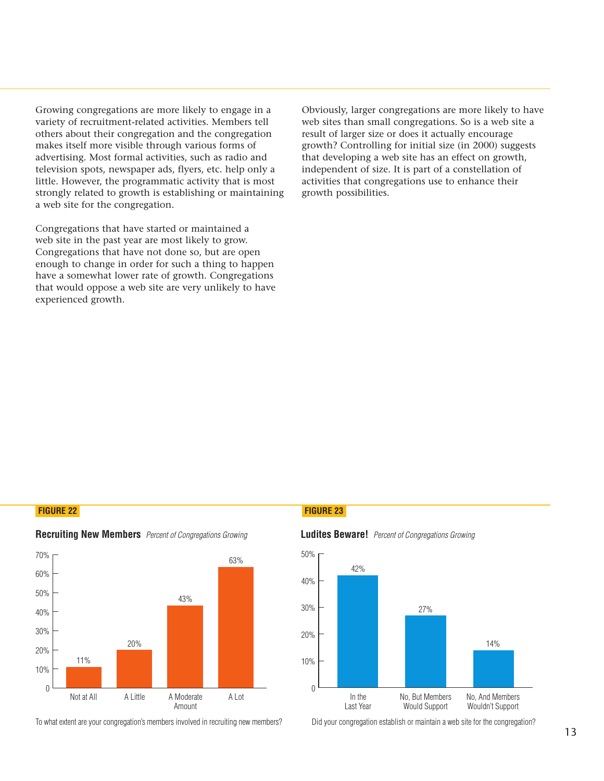**Growing congregations are more likely to engage in a variety of recruitment-related activities. Members tell others about their congregation and the congregation makes itself more visible through various forms of advertising. Most formal activities, such as radio and** 60% **television spots, newspaper ads, flyers, etc. help only a** little. However, the programmatic activity that is most **strongly related to growth is establishing or maintaining a web site for the congregation.** ongregations are more likely to e<br>recruitment-related activities. Me<br>ut their congregation and the co<br>if more visible through various fo<br>g. Most formal activities, such as<br>spots, newspaper ads, flyers, etc.<br>ever, the progr distribution of the series of the series of the series of the series of the series of the series of the series of the series of the series of the series of the series of the series of the series of the series of the series weter<br>cervie.net<br>net uppus<br>net uppus 0 % — wet<br>er ke er ke<br>n er ke er ke er ke er ke er ke er ke er ke er ke er ke er ke er ke er ke er ke er ke er ke er ke er ke er ke e ongregations are more likely to engage<br>ecruitment-related activities. Members<br>at their congregation and the congrega<br>f more visible through various forms c<br>. Most formal activities, such as radio<br>ipots, newspaper ads, flye ing congregations are more likely to engage<br>y of recruitment-related activities. Members<br>s about their congregation and the congrega<br>s itself more visible through various forms of<br>tising. Most formal activities, such as ra Frame more 1<br>
lated activ<br>
egation ar<br>
through<br>
activities<br>
per ads, fl<sub>?</sub><br>
rammatic<br>
ch is estab<br>
gation.<br>
started of<br>
are most<br>
not done<br>
ler for suc<br>
rate of grc<br>
price are v<br>
site are v

Congregations that have started or maintained a web site in the past year are most likely to grow. Congregations that have not done so, but are open **enough to change in order for such a thing to happen have a somewhat lower rate of growth. Congregations that would oppose a web site are very unlikely to have experienced growth.**

**Obviously, larger congregations are more likely to have** web sites than small congregations. So is a web site a result of larger size or does it actually encourage **growth? Controlling for initial size (in 2000) suggests** 40% **that developing a web site has an effect on growth,** independent of size. It is part of a constellation of **activities that congregations use to enhance their** 20% **growth possibilities.**  Fried congregations are mo<br> **Figure 3. Solution**<br> **Figure 3. Example 1**<br> **Figure 2 3. Example 1**<br> **Figure 3. Luddit 1**<br> **Figure 1**<br> **Figure 3. Luddit 1**<br> **Figure 1**<br> **Figure 1**<br> **Figure 1**<br> **Figure 1**<br> **Figure 1**<br> **Figure** uuttice die eersteld van die van die volgeleersteld van die van die van die van die van die van die van die va<br>Oor die van die van die van die van die van die van die van die van die van die van die van die van die van di<br> Figure 1 and all congregations are<br>In small congregations.<br>Introlling for initial size (ing a web site has an eft<br>of size. It is part of a congregations use to  $\epsilon$ <br>ibilities. ns atio<br>actio<br>actions are<br>sensent e likely to h<br>s a web site<br>courage<br>000) sugges<br>on growth,<br>ellation of<br>nce their ely<br>eb<br>age<br>sug<br>row<br>on<br>the **Example 18 System State State State State State State State State State State State State State State State State State State State State State State State State State State State State State State State State State State composed in the set of a**<br>**contain that is also any of a**<br>**conduct of a**<br>**conduct of a**<br>**conduct of a**<br>**conduct of a**<br>**conduct of a** 

### **FIGURE 22 FIGURE 23**



**Recruiting New Members** Percent of Congregations Growing

To what extent are your congregation's members involved in recruiting new members?



### **Ludites Beware!** Percent of Congregations Growing

Did your congregation establish or maintain a web site for the congregation?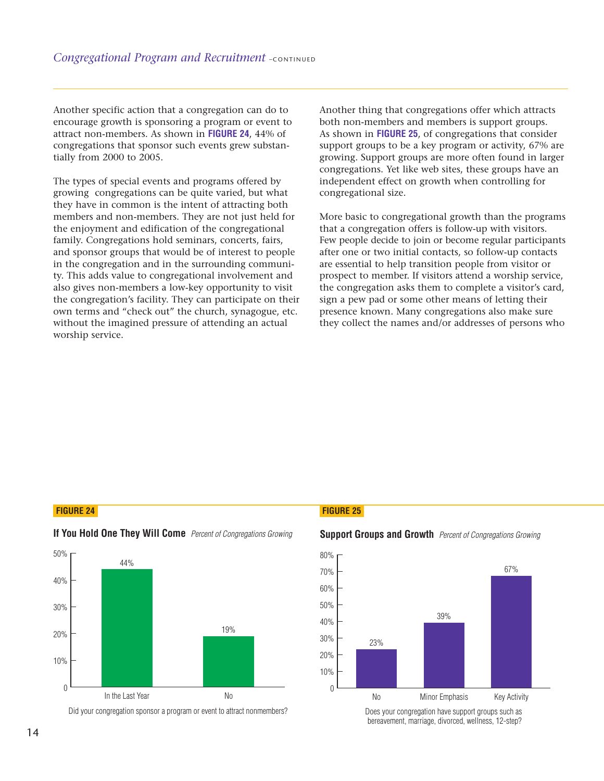**Another specific action that a congregation can do to** 60% **encourage growth is sponsoring a program or event to** attract non-members. As shown in **FIGURE 24**, 44% of **congregations that sponsor such events grew substan**tially from 2000 to 2005. Figures 1974 **Figure 2 2 . In the Example 2 . In the Secure 1**<br>
There specific action that a congregation<br>
Transverse proper and proper and the regations that sponsor such events gre<br>
From 2000 to 2005.  $\frac{d}{dt}$  a  $\frac{d}{dt}$  a  $\frac{d}{dt}$  ci

The types of special events and programs offered by growing congregations can be quite varied, but what **they have in common is the intent of attracting both** members and non-members. They are not just held for **the enjoyment and edification of the congregational family. Congregations hold seminars, concerts, fairs, and sponsor groups that would be of interest to people in the congregation and in the surrounding community. This adds value to congregational involvement and nonmembers? also gives non-members a low-key opportunity to visit the congregation's facility. They can participate on their own terms and "check out" the church, synagogue, etc. without the imagined pressure of attending an actual** 50 **worship service.** Comparent divided in the model of the model of the model of the model of the model of the model of the model of the model of the model of the model of the model of the model of the model of the model of the model of the mo nal Program and Recruitm<br>
fic action that a congregation<br>
wth is sponsoring a program o<br>
embers. As shown in **FIGURE 2**4<br>
that sponsor such events grev<br>
00 to 2005.<br>
pecial events and programs of<br>
regations can be quite va specific action that a congregation c<br>ge growth is sponsoring a program oi<br>on-members. As shown in **FIGURE 24**,<br>tions that sponsor such events grew<br>m 2000 to 2005.<br>s of special events and programs off<br>congregations can be

**Another thing that congregations offer which attracts both non-members and members is support groups. As shown in FIGURE 25, of congregations that consider support groups to be a key program or activity, 67% are growing. Support groups are more often found in larger** 67% **congregations. Yet like web sites, these groups have an independent effect on growth when controlling for congregational size. Follow Example 15. Set of the Straighter**<br>**FIGUSE 25.** Of congregations to be a key program or act<br>**t** groups are more often for the like web sites, these grand the sect on growth when contrize.  $\begin{bmatrix} 1 & 1 & 1 \\ 1 & 1 & 1 \\ 1 & 1 & 1 \\ 1 & 1 & 1 \\ 1 & 1 & 1 \\ 1 & 1 & 1 \\ 1 & 1 & 1 \\ 1 & 1 & 1 \\ 1 & 1 & 1 \\ 1 & 1 & 1 \\ 1 & 1 & 1 \\ 1 & 1 & 1 \\ 1 & 1 & 1 \\ 1 & 1 & 1 \\ 1 & 1 & 1 \\ 1 & 1 & 1 \\ 1 & 1 & 1 \\ 1 & 1 & 1 \\ 1 & 1 & 1 \\ 1 & 1 & 1 \\ 1 & 1 & 1 \\ 1 & 1 & 1 & 1 \\ 1 & 1 & 1 & 1 \\$ produced to the control of the control of the control of the control of the control of the control of the control of the control of the control of the control of the control of the control of the control of the control of 0 %  $\frac{1}{\log n}$  and  $\frac{1}{\log n}$  and  $\frac{1}{\log n}$  $\frac{1}{10}$  must not convert to the contract of the contract of the contract of the contract of the contract of the contract of the contract of the contract of the contract of the contract of the contract of the contract o \_<br>n<br>l u<br>n<br>t n<br>cc p<br>net<br>net<br>net |<br>| ու<br>| ո<br>| ո<br>| ո congregations offer which<br>and members is support g<br>i **25**, of congregations that<br>e a key program or activity<br>roups are more often found<br>ike web sites, these groups<br>on growth when controllii<br>regational growth than the<br>offer

**More basic to congregational growth than the programs** that a congregation offers is follow-up with visitors. **Few people decide to join or become regular participants after one or two initial contacts, so follow-up contacts are essential to help transition people from visitor or prospect to member. If visitors attend a worship service, the congregation asks them to complete a visitor's card, sign a pew pad or some other means of letting their presence known. Many congregations also make sure they collect the names and/or addresses of persons who** 80 **COURE 25,** of congregations offer which that to be a key program or activity to to be a key program or activity and the vertical state web sites, these group ffect on growth when controll size.<br>Congregational growth than mare equivalent offer defined members is supposed in the set of the set of the set of the set of the set of the set of the set of the distributional growth the set of the set of the set of the set of the set of the set of

# **FIGURE 24 FIGURE 25**



**If You Hold One They Will Come** Percent of Congregations Growing

Did your congregation sponsor a program or event to attract nonmembers?





Does your congregation have support groups such as bereavement, marriage, divorced, wellness, 12-step?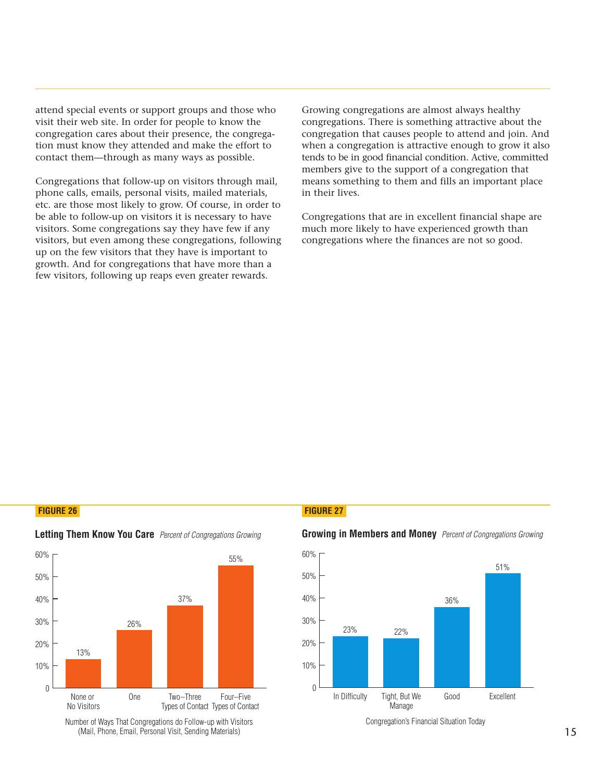**attend special events or support groups and those who** visit their web site. In order for people to know the **congregation cares about their presence, the congregation must know they attended and make the effort to** 50% contact them—through as many ways as possible. Figure 2012<br>
Figure 2013<br>
Figure 2014<br>
Figure 2014<br>
Figure 2014<br>
Figure 2014<br>
Figure 2014<br>
Figure 2014<br>
Figure 2014<br>
Figure 2014<br>
Figure 2014<br>
Figure 2014<br>
Figure 2014<br>
Figure 2014<br>
Figure 2014<br>
Figure 2014<br>
Figure 2014<br>
F

Congregations that follow-up on visitors through mail, **phone calls, emails, personal visits, mailed materials,** etc. are those most likely to grow. Of course, in order to be able to follow-up on visitors it is necessary to have **visitors. Some congregations say they have few if any** 10% **visitors, but even among these congregations, following up on the few visitors that they have is important to growth. And for congregations that have more than a few visitors, following up reaps even greater rewards.** de dia mandra dia mandra dia mandra di secondo di altre di secondo di secondo di altre di secondo di altre di <br>Di secondo di altre di altre di altre di altre di altre di altre di altre di altre di altre di altre di altre <br> I special events or support groups and those<br>heir web site. In order for people to know th<br>egation cares about their presence, the congrust know they attended and make the effort<br>t them—through as many ways as possible.<br>eg I special events or support groups and their web site. In order for people to know<br>gation cares about their presence, the cc<br>uust know they attended and make the e<br>et them—through as many ways as possil<br>egations that follo I events or support groups a<br>
b site. In order for people ta<br>
cares about their presence,<br>
how they attended and make<br>
1-through as many ways as<br>
ns that follow-up on visitors<br>
emails, personal visits, mail<br>
emost likely t

Frame Superiors are almost always hyptions. There is something attractive attend a congregation is attractive enough to be in good financial condition. Active spive to the support of a congregation something to them and fi means something to them and fills an important place 51% **when a congregation is attractive enough to grow it also** over and the control of the control of the control of the control of the control of the control of the control of the control of the control of the control of the control of the control of the control of the control of the 30% **in their lives.** 40% **members give to the support of a congregation that** tends to be in good financial condition. Active, committed 60% **congregation that causes people to attend and join. And** congregations are almost always healthy<br>tions. There is something attractive about<br>ion that causes people to attend and join<br>ongregation is attractive enough to grow<br>e in good financial condition. Active, com<br>give to the s gations are almost alway<br>There is something attract<br>at causes people to atte<br>ation is attractive enou<br>ood financial condition.<br>1<br>the support of a cong<br>g to them and fills an<br>hat are in excellent fin<br>by to have experienced<br> **Growing congregations are almost always healthy congregations. There is something attractive about the**

congregations where the finances are not so good. Congregations that are in excellent financial shape are **much more likely to have experienced growth than**

### **FIGURE 26 FIGURE 27**



# **Letting Them Know You Care** Percent of Congregations Growing

Number of Ways That Congregations do Follow-up with Visitors (Mail, Phone, Email, Personal Visit, Sending Materials)

### **Growing in Members and Money** Percent of Congregations Growing



Congregation's Financial Situation Today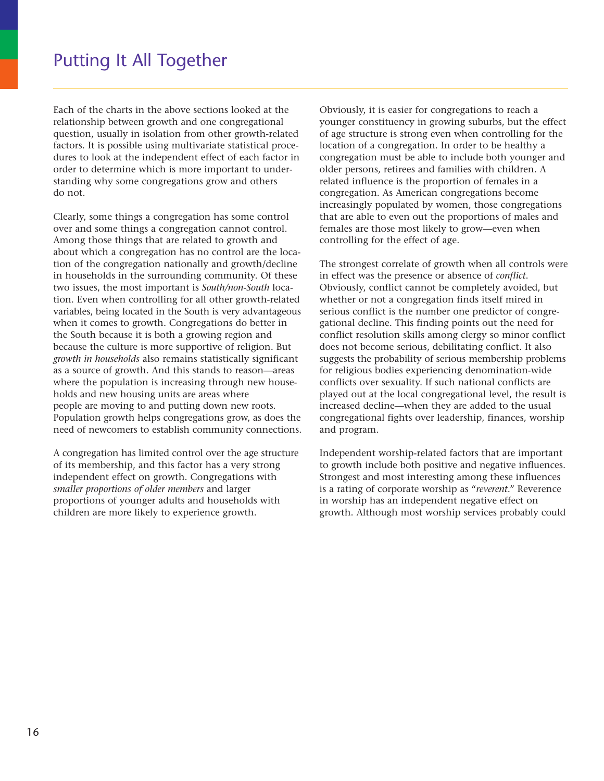# Putting It All Together

**Each of the charts in the above sections looked at the relationship between growth and one congregational question, usually in isolation from other growth-related factors. It is possible using multivariate statistical procedures to look at the independent effect of each factor in order to determine which is more important to understanding why some congregations grow and others do not.**

**Clearly, some things a congregation has some control over and some things a congregation cannot control. Among those things that are related to growth and about which a congregation has no control are the location of the congregation nationally and growth/decline in households in the surrounding community. Of these two issues, the most important is** *South/non-South* **location. Even when controlling for all other growth-related variables, being located in the South is very advantageous when it comes to growth. Congregations do better in the South because it is both a growing region and because the culture is more supportive of religion. But** *growth in households* **also remains statistically significant as a source of growth. And this stands to reason—areas where the population is increasing through new households and new housing units are areas where people are moving to and putting down new roots. Population growth helps congregations grow, as does the need of newcomers to establish community connections.**

**A congregation has limited control over the age structure of its membership, and this factor has a very strong independent effect on growth. Congregations with** *smaller proportions of older members* **and larger proportions of younger adults and households with children are more likely to experience growth.**

**Obviously, it is easier for congregations to reach a younger constituency in growing suburbs, but the effect of age structure is strong even when controlling for the location of a congregation. In order to be healthy a congregation must be able to include both younger and older persons, retirees and families with children. A related influence is the proportion of females in a congregation. As American congregations become increasingly populated by women, those congregations that are able to even out the proportions of males and females are those most likely to grow—even when controlling for the effect of age.**

**The strongest correlate of growth when all controls were in effect was the presence or absence of** *conflict***. Obviously, conflict cannot be completely avoided, but whether or not a congregation finds itself mired in serious conflict is the number one predictor of congregational decline. This finding points out the need for conflict resolution skills among clergy so minor conflict does not become serious, debilitating conflict. It also suggests the probability of serious membership problems for religious bodies experiencing denomination-wide conflicts over sexuality. If such national conflicts are played out at the local congregational level, the result is increased decline—when they are added to the usual congregational fights over leadership, finances, worship and program.**

**Independent worship-related factors that are important to growth include both positive and negative influences. Strongest and most interesting among these influences is a rating of corporate worship as "***reverent***." Reverence in worship has an independent negative effect on growth. Although most worship services probably could**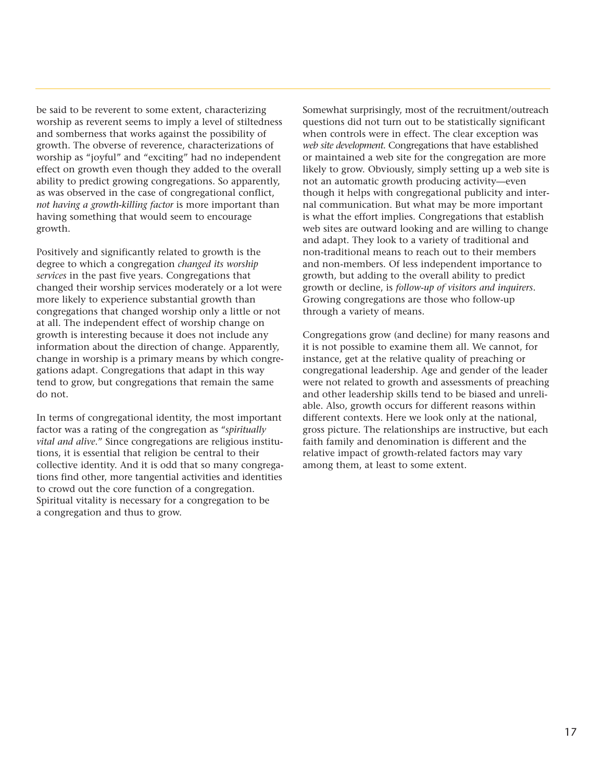**be said to be reverent to some extent, characterizing worship as reverent seems to imply a level of stiltedness and somberness that works against the possibility of growth. The obverse of reverence, characterizations of worship as "joyful" and "exciting" had no independent effect on growth even though they added to the overall ability to predict growing congregations. So apparently, as was observed in the case of congregational conflict,** *not having a growth-killing factor* **is more important than having something that would seem to encourage growth.** 

**Positively and significantly related to growth is the degree to which a congregation** *changed its worship services* **in the past five years. Congregations that changed their worship services moderately or a lot were more likely to experience substantial growth than congregations that changed worship only a little or not at all. The independent effect of worship change on growth is interesting because it does not include any information about the direction of change. Apparently, change in worship is a primary means by which congregations adapt. Congregations that adapt in this way tend to grow, but congregations that remain the same do not.** 

**In terms of congregational identity, the most important factor was a rating of the congregation as "***spiritually vital and alive***." Since congregations are religious institutions, it is essential that religion be central to their collective identity. And it is odd that so many congregations find other, more tangential activities and identities to crowd out the core function of a congregation. Spiritual vitality is necessary for a congregation to be a congregation and thus to grow.** 

**Somewhat surprisingly, most of the recruitment/outreach questions did not turn out to be statistically significant when controls were in effect. The clear exception was** *web site development***. Congregations that have established or maintained a web site for the congregation are more likely to grow. Obviously, simply setting up a web site is not an automatic growth producing activity—even though it helps with congregational publicity and internal communication. But what may be more important is what the effort implies. Congregations that establish web sites are outward looking and are willing to change and adapt. They look to a variety of traditional and non-traditional means to reach out to their members and non-members. Of less independent importance to growth, but adding to the overall ability to predict growth or decline, is** *follow-up of visitors and inquirers***. Growing congregations are those who follow-up through a variety of means.**

**Congregations grow (and decline) for many reasons and it is not possible to examine them all. We cannot, for instance, get at the relative quality of preaching or congregational leadership. Age and gender of the leader were not related to growth and assessments of preaching and other leadership skills tend to be biased and unreliable. Also, growth occurs for different reasons within different contexts. Here we look only at the national, gross picture. The relationships are instructive, but each faith family and denomination is different and the relative impact of growth-related factors may vary among them, at least to some extent.**